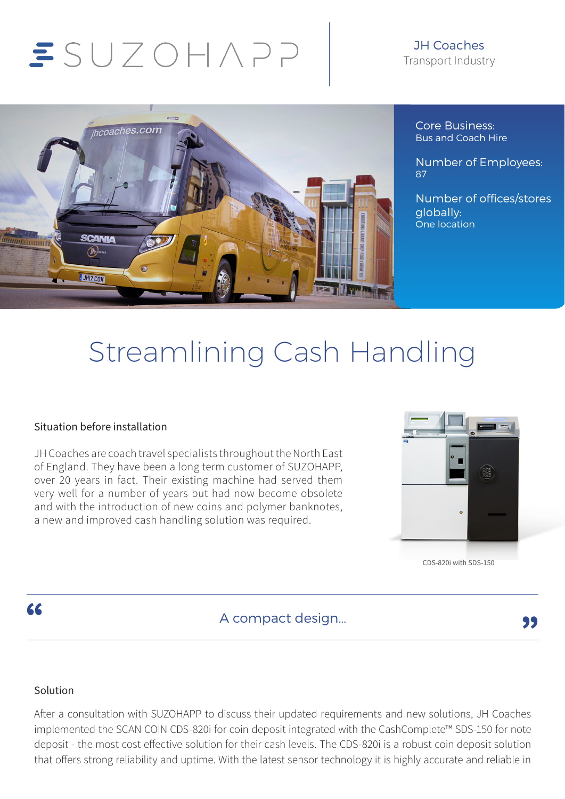# $SUTOHAP$

#### JH Coaches Transport Industry



Core Business: Bus and Coach Hire

Number of Employees: 87

Number of offices/stores globally: One location

## Streamlining Cash Handling

#### Situation before installation

JH Coaches are coach travel specialists throughout the North East of England. They have been a long term customer of SUZOHAPP, over 20 years in fact. Their existing machine had served them very well for a number of years but had now become obsolete and with the introduction of new coins and polymer banknotes, a new and improved cash handling solution was required.



CDS-820i with SDS-150

 $\overline{\mathbf{A}}$  Compact design...

#### Solution

After a consultation with SUZOHAPP to discuss their updated requirements and new solutions, JH Coaches implemented the SCAN COIN CDS-820i for coin deposit integrated with the CashComplete™ SDS-150 for note deposit - the most cost effective solution for their cash levels. The CDS-820i is a robust coin deposit solution that offers strong reliability and uptime. With the latest sensor technology it is highly accurate and reliable in